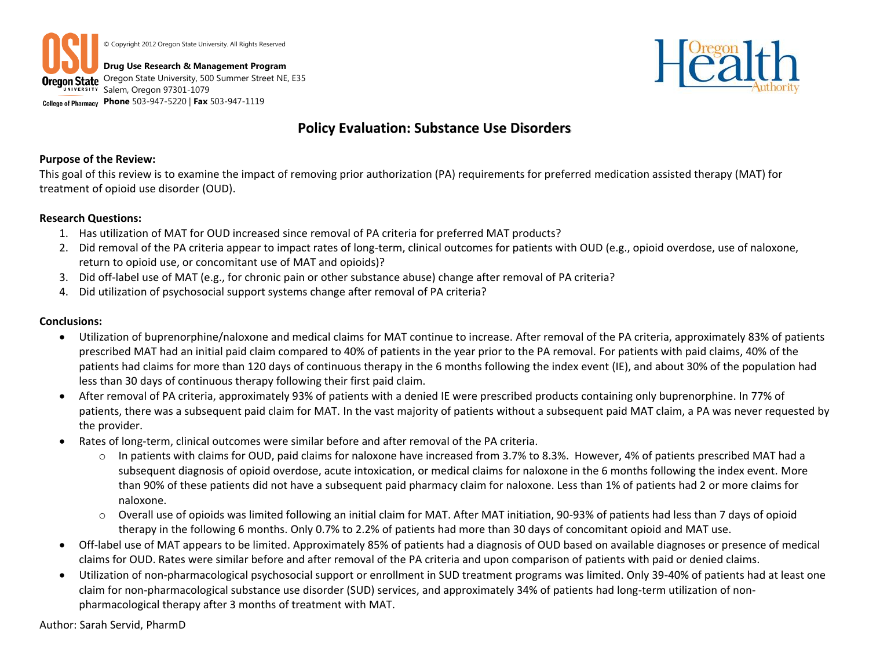



# **Policy Evaluation: Substance Use Disorders**

### **Purpose of the Review:**

This goal of this review is to examine the impact of removing prior authorization (PA) requirements for preferred medication assisted therapy (MAT) for treatment of opioid use disorder (OUD).

### **Research Questions:**

- 1. Has utilization of MAT for OUD increased since removal of PA criteria for preferred MAT products?
- 2. Did removal of the PA criteria appear to impact rates of long-term, clinical outcomes for patients with OUD (e.g., opioid overdose, use of naloxone, return to opioid use, or concomitant use of MAT and opioids)?
- 3. Did off-label use of MAT (e.g., for chronic pain or other substance abuse) change after removal of PA criteria?
- 4. Did utilization of psychosocial support systems change after removal of PA criteria?

### **Conclusions:**

- Utilization of buprenorphine/naloxone and medical claims for MAT continue to increase. After removal of the PA criteria, approximately 83% of patients prescribed MAT had an initial paid claim compared to 40% of patients in the year prior to the PA removal. For patients with paid claims, 40% of the patients had claims for more than 120 days of continuous therapy in the 6 months following the index event (IE), and about 30% of the population had less than 30 days of continuous therapy following their first paid claim.
- After removal of PA criteria, approximately 93% of patients with a denied IE were prescribed products containing only buprenorphine. In 77% of patients, there was a subsequent paid claim for MAT. In the vast majority of patients without a subsequent paid MAT claim, a PA was never requested by the provider.
- Rates of long-term, clinical outcomes were similar before and after removal of the PA criteria.
	- o In patients with claims for OUD, paid claims for naloxone have increased from 3.7% to 8.3%. However, 4% of patients prescribed MAT had a subsequent diagnosis of opioid overdose, acute intoxication, or medical claims for naloxone in the 6 months following the index event. More than 90% of these patients did not have a subsequent paid pharmacy claim for naloxone. Less than 1% of patients had 2 or more claims for naloxone.
	- o Overall use of opioids was limited following an initial claim for MAT. After MAT initiation, 90-93% of patients had less than 7 days of opioid therapy in the following 6 months. Only 0.7% to 2.2% of patients had more than 30 days of concomitant opioid and MAT use.
- Off-label use of MAT appears to be limited. Approximately 85% of patients had a diagnosis of OUD based on available diagnoses or presence of medical claims for OUD. Rates were similar before and after removal of the PA criteria and upon comparison of patients with paid or denied claims.
- Utilization of non-pharmacological psychosocial support or enrollment in SUD treatment programs was limited. Only 39-40% of patients had at least one claim for non-pharmacological substance use disorder (SUD) services, and approximately 34% of patients had long-term utilization of nonpharmacological therapy after 3 months of treatment with MAT.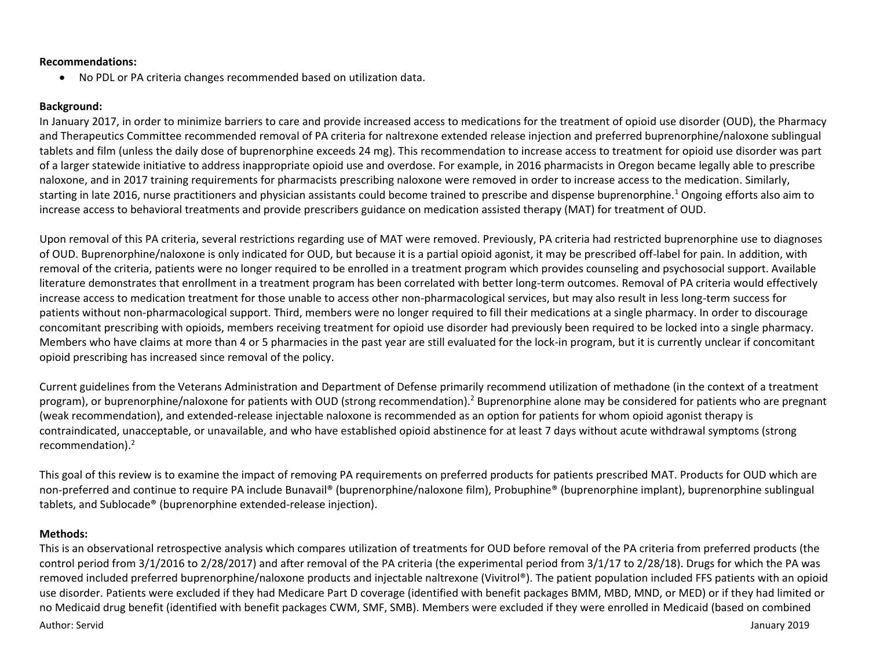### **Recommendations:**

No PDL or PA criteria changes recommended based on utilization data.

### **Background:**

In January 2017, in order to minimize barriers to care and provide increased access to medications for the treatment of opioid use disorder (OUD), the Pharmacy and Therapeutics Committee recommended removal of PA criteria for naltrexone extended release injection and preferred buprenorphine/naloxone sublingual tablets and film (unless the daily dose of buprenorphine exceeds 24 mg). This recommendation to increase access to treatment for opioid use disorder was part of a larger statewide initiative to address inappropriate opioid use and overdose. For example, in 2016 pharmacists in Oregon became legally able to prescribe naloxone, and in 2017 training requirements for pharmacists prescribing naloxone were removed in order to increase access to the medication. Similarly, starting in late 2016, nurse practitioners and physician assistants could become trained to prescribe and dispense buprenorphine.<sup>1</sup> Ongoing efforts also aim to increase access to behavioral treatments and provide prescribers guidance on medication assisted therapy (MAT) for treatment of OUD.

Upon removal of this PA criteria, several restrictions regarding use of MAT were removed. Previously, PA criteria had restricted buprenorphine use to diagnoses of OUD. Buprenorphine/naloxone is only indicated for OUD, but because it is a partial opioid agonist, it may be prescribed off-label for pain. In addition, with removal of the criteria, patients were no longer required to be enrolled in a treatment program which provides counseling and psychosocial support. Available literature demonstrates that enrollment in a treatment program has been correlated with better long-term outcomes. Removal of PA criteria would effectively increase access to medication treatment for those unable to access other non-pharmacological services, but may also result in less long-term success for patients without non-pharmacological support. Third, members were no longer required to fill their medications at a single pharmacy. In order to discourage concomitant prescribing with opioids, members receiving treatment for opioid use disorder had previously been required to be locked into a single pharmacy. Members who have claims at more than 4 or 5 pharmacies in the past year are still evaluated for the lock-in program, but it is currently unclear if concomitant opioid prescribing has increased since removal of the policy.

Current guidelines from the Veterans Administration and Department of Defense primarily recommend utilization of methadone (in the context of a treatment program), or buprenorphine/naloxone for patients with OUD (strong recommendation).<sup>2</sup> Buprenorphine alone may be considered for patients who are pregnant (weak recommendation), and extended-release injectable naloxone is recommended as an option for patients for whom opioid agonist therapy is contraindicated, unacceptable, or unavailable, and who have established opioid abstinence for at least 7 days without acute withdrawal symptoms (strong recommendation).<sup>2</sup>

This goal of this review is to examine the impact of removing PA requirements on preferred products for patients prescribed MAT. Products for OUD which are non-preferred and continue to require PA include Bunavail® (buprenorphine/naloxone film), Probuphine® (buprenorphine implant), buprenorphine sublingual tablets, and Sublocade® (buprenorphine extended-release injection).

#### **Methods:**

Author: Servid January 2019 This is an observational retrospective analysis which compares utilization of treatments for OUD before removal of the PA criteria from preferred products (the control period from 3/1/2016 to 2/28/2017) and after removal of the PA criteria (the experimental period from 3/1/17 to 2/28/18). Drugs for which the PA was removed included preferred buprenorphine/naloxone products and injectable naltrexone (Vivitrol®). The patient population included FFS patients with an opioid use disorder. Patients were excluded if they had Medicare Part D coverage (identified with benefit packages BMM, MBD, MND, or MED) or if they had limited or no Medicaid drug benefit (identified with benefit packages CWM, SMF, SMB). Members were excluded if they were enrolled in Medicaid (based on combined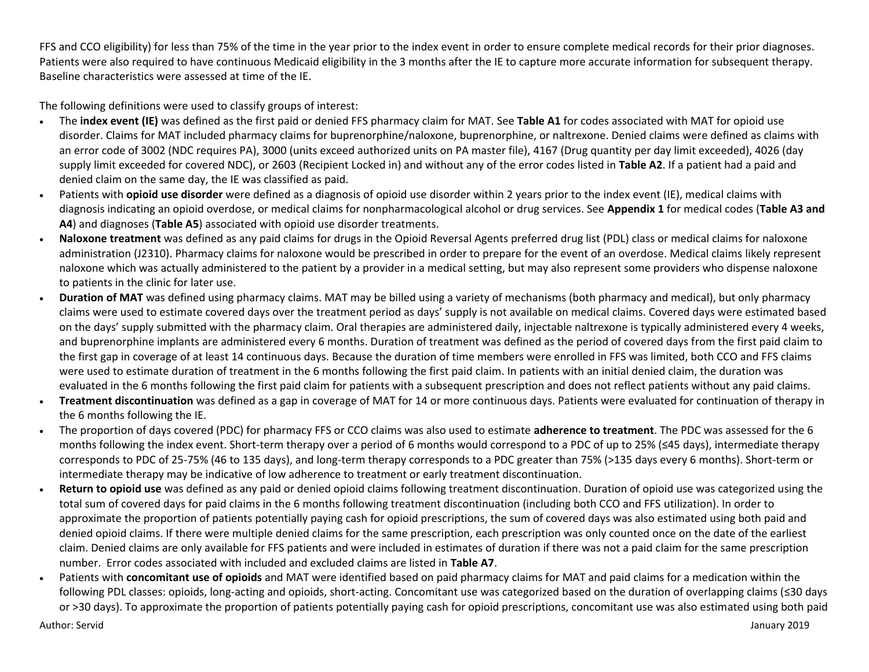FFS and CCO eligibility) for less than 75% of the time in the year prior to the index event in order to ensure complete medical records for their prior diagnoses. Patients were also required to have continuous Medicaid eligibility in the 3 months after the IE to capture more accurate information for subsequent therapy. Baseline characteristics were assessed at time of the IE.

The following definitions were used to classify groups of interest:

- The **index event (IE)** was defined as the first paid or denied FFS pharmacy claim for MAT. See **Table A1** for codes associated with MAT for opioid use disorder. Claims for MAT included pharmacy claims for buprenorphine/naloxone, buprenorphine, or naltrexone. Denied claims were defined as claims with an error code of 3002 (NDC requires PA), 3000 (units exceed authorized units on PA master file), 4167 (Drug quantity per day limit exceeded), 4026 (day supply limit exceeded for covered NDC), or 2603 (Recipient Locked in) and without any of the error codes listed in **Table A2**. If a patient had a paid and denied claim on the same day, the IE was classified as paid.
- Patients with **opioid use disorder** were defined as a diagnosis of opioid use disorder within 2 years prior to the index event (IE), medical claims with diagnosis indicating an opioid overdose, or medical claims for nonpharmacological alcohol or drug services. See **Appendix 1** for medical codes (**Table A3 and A4**) and diagnoses (**Table A5**) associated with opioid use disorder treatments.
- **Naloxone treatment** was defined as any paid claims for drugs in the Opioid Reversal Agents preferred drug list (PDL) class or medical claims for naloxone administration (J2310). Pharmacy claims for naloxone would be prescribed in order to prepare for the event of an overdose. Medical claims likely represent naloxone which was actually administered to the patient by a provider in a medical setting, but may also represent some providers who dispense naloxone to patients in the clinic for later use.
- **Duration of MAT** was defined using pharmacy claims. MAT may be billed using a variety of mechanisms (both pharmacy and medical), but only pharmacy claims were used to estimate covered days over the treatment period as days' supply is not available on medical claims. Covered days were estimated based on the days' supply submitted with the pharmacy claim. Oral therapies are administered daily, injectable naltrexone is typically administered every 4 weeks, and buprenorphine implants are administered every 6 months. Duration of treatment was defined as the period of covered days from the first paid claim to the first gap in coverage of at least 14 continuous days. Because the duration of time members were enrolled in FFS was limited, both CCO and FFS claims were used to estimate duration of treatment in the 6 months following the first paid claim. In patients with an initial denied claim, the duration was evaluated in the 6 months following the first paid claim for patients with a subsequent prescription and does not reflect patients without any paid claims.
- **Treatment discontinuation** was defined as a gap in coverage of MAT for 14 or more continuous days. Patients were evaluated for continuation of therapy in the 6 months following the IE.
- The proportion of days covered (PDC) for pharmacy FFS or CCO claims was also used to estimate **adherence to treatment**. The PDC was assessed for the 6 months following the index event. Short-term therapy over a period of 6 months would correspond to a PDC of up to 25% (≤45 days), intermediate therapy corresponds to PDC of 25-75% (46 to 135 days), and long-term therapy corresponds to a PDC greater than 75% (>135 days every 6 months). Short-term or intermediate therapy may be indicative of low adherence to treatment or early treatment discontinuation.
- **Return to opioid use** was defined as any paid or denied opioid claims following treatment discontinuation. Duration of opioid use was categorized using the total sum of covered days for paid claims in the 6 months following treatment discontinuation (including both CCO and FFS utilization). In order to approximate the proportion of patients potentially paying cash for opioid prescriptions, the sum of covered days was also estimated using both paid and denied opioid claims. If there were multiple denied claims for the same prescription, each prescription was only counted once on the date of the earliest claim. Denied claims are only available for FFS patients and were included in estimates of duration if there was not a paid claim for the same prescription number. Error codes associated with included and excluded claims are listed in **Table A7**.
- Patients with **concomitant use of opioids** and MAT were identified based on paid pharmacy claims for MAT and paid claims for a medication within the following PDL classes: opioids, long-acting and opioids, short-acting. Concomitant use was categorized based on the duration of overlapping claims (≤30 days or >30 days). To approximate the proportion of patients potentially paying cash for opioid prescriptions, concomitant use was also estimated using both paid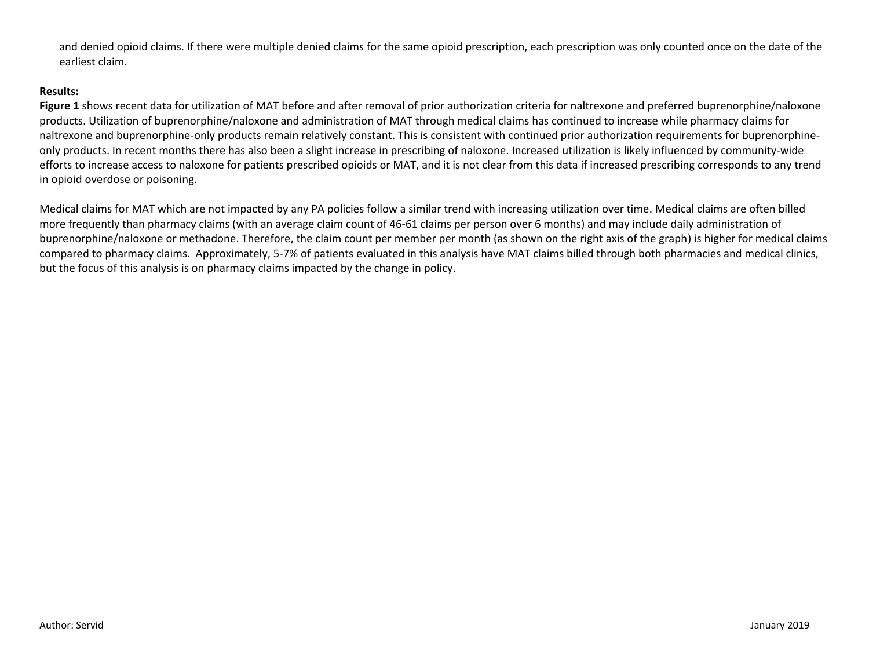and denied opioid claims. If there were multiple denied claims for the same opioid prescription, each prescription was only counted once on the date of the earliest claim.

### **Results:**

**Figure 1** shows recent data for utilization of MAT before and after removal of prior authorization criteria for naltrexone and preferred buprenorphine/naloxone products. Utilization of buprenorphine/naloxone and administration of MAT through medical claims has continued to increase while pharmacy claims for naltrexone and buprenorphine-only products remain relatively constant. This is consistent with continued prior authorization requirements for buprenorphineonly products. In recent months there has also been a slight increase in prescribing of naloxone. Increased utilization is likely influenced by community-wide efforts to increase access to naloxone for patients prescribed opioids or MAT, and it is not clear from this data if increased prescribing corresponds to any trend in opioid overdose or poisoning.

Medical claims for MAT which are not impacted by any PA policies follow a similar trend with increasing utilization over time. Medical claims are often billed more frequently than pharmacy claims (with an average claim count of 46-61 claims per person over 6 months) and may include daily administration of buprenorphine/naloxone or methadone. Therefore, the claim count per member per month (as shown on the right axis of the graph) is higher for medical claims compared to pharmacy claims. Approximately, 5-7% of patients evaluated in this analysis have MAT claims billed through both pharmacies and medical clinics, but the focus of this analysis is on pharmacy claims impacted by the change in policy.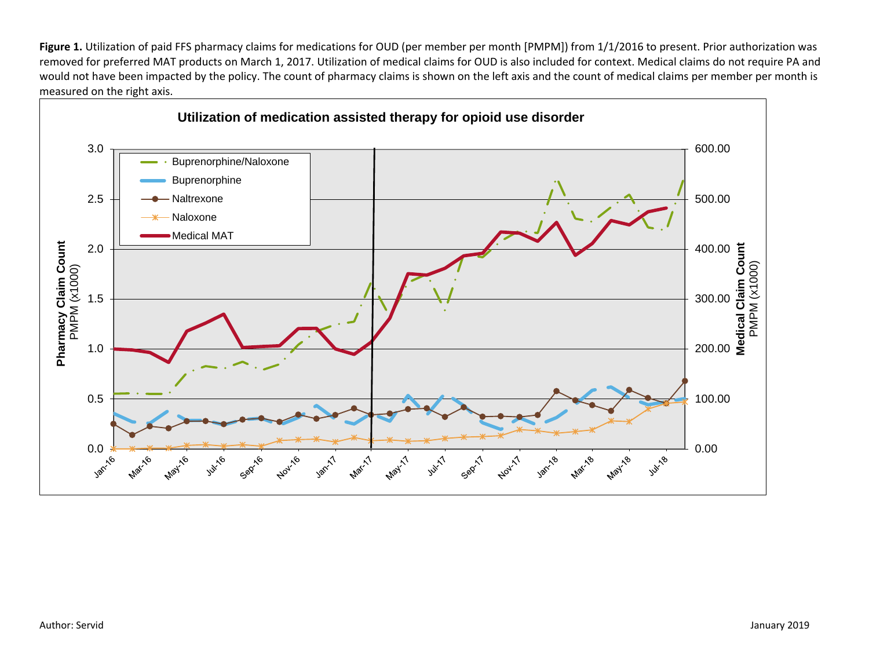Figure 1. Utilization of paid FFS pharmacy claims for medications for OUD (per member per month [PMPM]) from 1/1/2016 to present. Prior authorization was removed for preferred MAT products on March 1, 2017. Utilization of medical claims for OUD is also included for context. Medical claims do not require PA and would not have been impacted by the policy. The count of pharmacy claims is shown on the left axis and the count of medical claims per member per month is measured on the right axis.

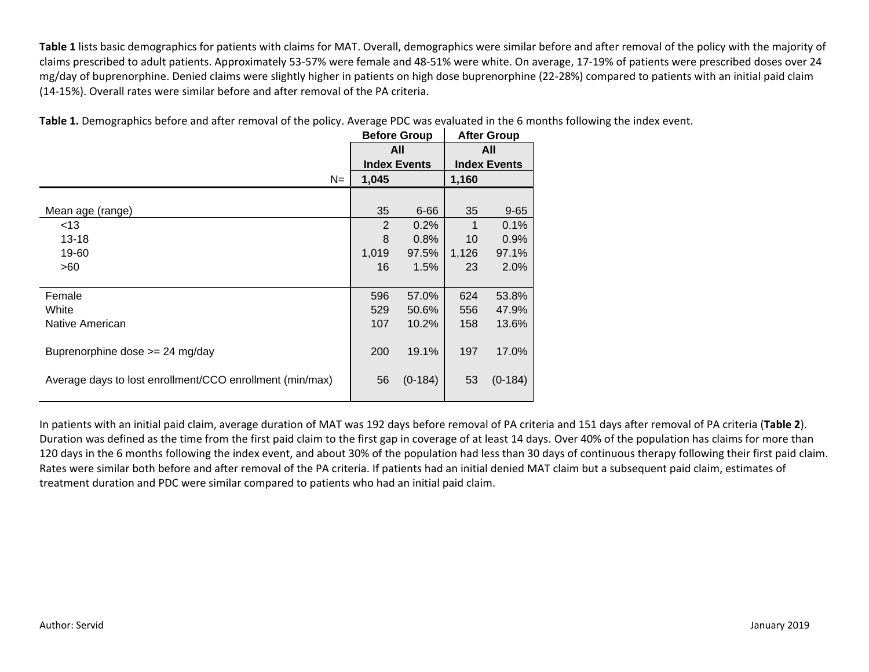**Table 1** lists basic demographics for patients with claims for MAT. Overall, demographics were similar before and after removal of the policy with the majority of claims prescribed to adult patients. Approximately 53-57% were female and 48-51% were white. On average, 17-19% of patients were prescribed doses over 24 mg/day of buprenorphine. Denied claims were slightly higher in patients on high dose buprenorphine (22-28%) compared to patients with an initial paid claim (14-15%). Overall rates were similar before and after removal of the PA criteria.

|                                                          |                | <b>Before Group</b> |                     | <b>After Group</b> |  |
|----------------------------------------------------------|----------------|---------------------|---------------------|--------------------|--|
|                                                          |                | All                 |                     | All                |  |
|                                                          |                | <b>Index Events</b> | <b>Index Events</b> |                    |  |
| $N=$                                                     | 1,045          |                     | 1,160               |                    |  |
|                                                          |                |                     |                     |                    |  |
| Mean age (range)                                         | 35             | $6 - 66$            | 35                  | $9 - 65$           |  |
| <13                                                      | $\overline{2}$ | 0.2%                | 1                   | 0.1%               |  |
| $13 - 18$                                                | 8              | 0.8%                | 10                  | 0.9%               |  |
| 19-60                                                    | 1,019          | 97.5%               | 1,126               | 97.1%              |  |
| >60                                                      | 16             | 1.5%                | 23                  | 2.0%               |  |
|                                                          |                |                     |                     |                    |  |
| Female                                                   | 596            | 57.0%               | 624                 | 53.8%              |  |
| White                                                    | 529            | 50.6%               | 556                 | 47.9%              |  |
| Native American                                          | 107            | 10.2%               | 158                 | 13.6%              |  |
|                                                          |                |                     |                     |                    |  |
| Buprenorphine dose $>= 24$ mg/day                        | 200            | 19.1%               | 197                 | 17.0%              |  |
|                                                          |                |                     |                     |                    |  |
| Average days to lost enrollment/CCO enrollment (min/max) | 56             | $(0-184)$           | 53                  | $(0-184)$          |  |
|                                                          |                |                     |                     |                    |  |

**Table 1.** Demographics before and after removal of the policy. Average PDC was evaluated in the 6 months following the index event.

In patients with an initial paid claim, average duration of MAT was 192 days before removal of PA criteria and 151 days after removal of PA criteria (**Table 2**). Duration was defined as the time from the first paid claim to the first gap in coverage of at least 14 days. Over 40% of the population has claims for more than 120 days in the 6 months following the index event, and about 30% of the population had less than 30 days of continuous therapy following their first paid claim. Rates were similar both before and after removal of the PA criteria. If patients had an initial denied MAT claim but a subsequent paid claim, estimates of treatment duration and PDC were similar compared to patients who had an initial paid claim.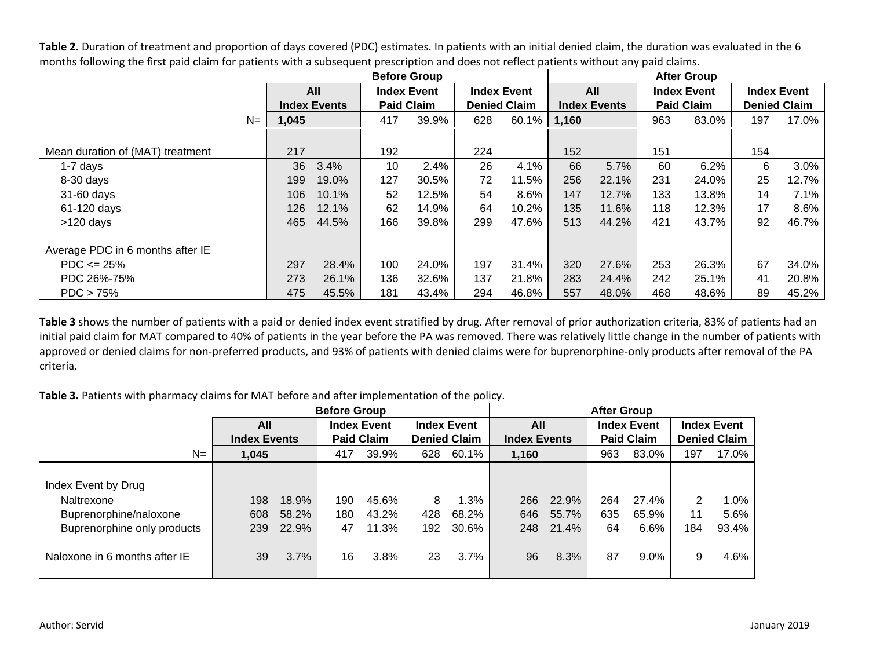Table 2. Duration of treatment and proportion of days covered (PDC) estimates. In patients with an initial denied claim, the duration was evaluated in the 6 months following the first paid claim for patients with a subsequent prescription and does not reflect patients without any paid claims.

|                                  |       |                           | <b>Before Group</b> |                   |     |                     |       |                     |     | <b>After Group</b> |                     |       |  |  |  |  |
|----------------------------------|-------|---------------------------|---------------------|-------------------|-----|---------------------|-------|---------------------|-----|--------------------|---------------------|-------|--|--|--|--|
|                                  |       | All<br><b>Index Event</b> |                     |                   |     | <b>Index Event</b>  |       | All                 |     | <b>Index Event</b> | <b>Index Event</b>  |       |  |  |  |  |
|                                  |       | <b>Index Events</b>       |                     | <b>Paid Claim</b> |     | <b>Denied Claim</b> |       | <b>Index Events</b> |     | <b>Paid Claim</b>  | <b>Denied Claim</b> |       |  |  |  |  |
| $N =$                            | 1,045 |                           | 417                 | 39.9%             | 628 | 60.1%               | 1,160 |                     | 963 | 83.0%              | 197                 | 17.0% |  |  |  |  |
|                                  |       |                           |                     |                   |     |                     |       |                     |     |                    |                     |       |  |  |  |  |
| Mean duration of (MAT) treatment | 217   |                           | 192                 |                   | 224 |                     | 152   |                     | 151 |                    | 154                 |       |  |  |  |  |
| $1-7$ days                       | 36    | 3.4%                      | 10                  | 2.4%              | 26  | 4.1%                | 66    | 5.7%                | 60  | 6.2%               | 6                   | 3.0%  |  |  |  |  |
| 8-30 days                        | 199   | 19.0%                     | 127                 | 30.5%             | 72  | 11.5%               | 256   | 22.1%               | 231 | 24.0%              | 25                  | 12.7% |  |  |  |  |
| 31-60 days                       | 106   | 10.1%                     | 52                  | 12.5%             | 54  | 8.6%                | 147   | 12.7%               | 133 | 13.8%              | 14                  | 7.1%  |  |  |  |  |
| 61-120 days                      | 126   | 12.1%                     | 62                  | 14.9%             | 64  | 10.2%               | 135   | 11.6%               | 118 | 12.3%              | 17                  | 8.6%  |  |  |  |  |
| $>120$ days                      | 465   | 44.5%                     | 166                 | 39.8%             | 299 | 47.6%               | 513   | 44.2%               | 421 | 43.7%              | 92                  | 46.7% |  |  |  |  |
| Average PDC in 6 months after IE |       |                           |                     |                   |     |                     |       |                     |     |                    |                     |       |  |  |  |  |
| $PDC \le 25\%$                   | 297   | 28.4%                     | 100                 | 24.0%             | 197 | 31.4%               | 320   | 27.6%               | 253 | 26.3%              | 67                  | 34.0% |  |  |  |  |
| PDC 26%-75%                      | 273   | 26.1%                     | 136                 | 32.6%             | 137 | 21.8%               | 283   | 24.4%               | 242 | 25.1%              | 41                  | 20.8% |  |  |  |  |
| $PDC > 75\%$                     | 475   | 45.5%                     | 181                 | 43.4%             | 294 | 46.8%               | 557   | 48.0%               | 468 | 48.6%              | 89                  | 45.2% |  |  |  |  |

**Table 3** shows the number of patients with a paid or denied index event stratified by drug. After removal of prior authorization criteria, 83% of patients had an initial paid claim for MAT compared to 40% of patients in the year before the PA was removed. There was relatively little change in the number of patients with approved or denied claims for non-preferred products, and 93% of patients with denied claims were for buprenorphine-only products after removal of the PA criteria.

**Table 3.** Patients with pharmacy claims for MAT before and after implementation of the policy.

| <b>Before Group</b>           |                     |       |     |                    |                     |                    |                           | <b>After Group</b> |                   |       |                     |       |  |
|-------------------------------|---------------------|-------|-----|--------------------|---------------------|--------------------|---------------------------|--------------------|-------------------|-------|---------------------|-------|--|
|                               | All                 |       |     | <b>Index Event</b> |                     | <b>Index Event</b> | All<br><b>Index Event</b> |                    |                   |       | <b>Index Event</b>  |       |  |
|                               | <b>Index Events</b> |       |     | <b>Paid Claim</b>  | <b>Denied Claim</b> |                    | <b>Index Events</b>       |                    | <b>Paid Claim</b> |       | <b>Denied Claim</b> |       |  |
| $N=$                          | 1,045               |       | 417 | 39.9%              | 628                 | 60.1%              | 1,160                     |                    | 963               | 83.0% | 197                 | 17.0% |  |
|                               |                     |       |     |                    |                     |                    |                           |                    |                   |       |                     |       |  |
| Index Event by Drug           |                     |       |     |                    |                     |                    |                           |                    |                   |       |                     |       |  |
| Naltrexone                    | 198                 | 18.9% | 190 | 45.6%              | 8                   | 1.3%               | 266                       | 22.9%              | 264               | 27.4% | 2                   | 1.0%  |  |
| Buprenorphine/naloxone        | 608                 | 58.2% | 180 | 43.2%              | 428                 | 68.2%              | 646                       | 55.7%              | 635               | 65.9% | 11                  | 5.6%  |  |
| Buprenorphine only products   | 239                 | 22.9% | 47  | 11.3%              | 192                 | 30.6%              | 248                       | 21.4%              | 64                | 6.6%  | 184                 | 93.4% |  |
|                               |                     |       |     |                    |                     |                    |                           |                    |                   |       |                     |       |  |
| Naloxone in 6 months after IE | 39                  | 3.7%  | 16  | 3.8%               | 23                  | 3.7%               | 96                        | 8.3%               | 87                | 9.0%  | 9                   | 4.6%  |  |
|                               |                     |       |     |                    |                     |                    |                           |                    |                   |       |                     |       |  |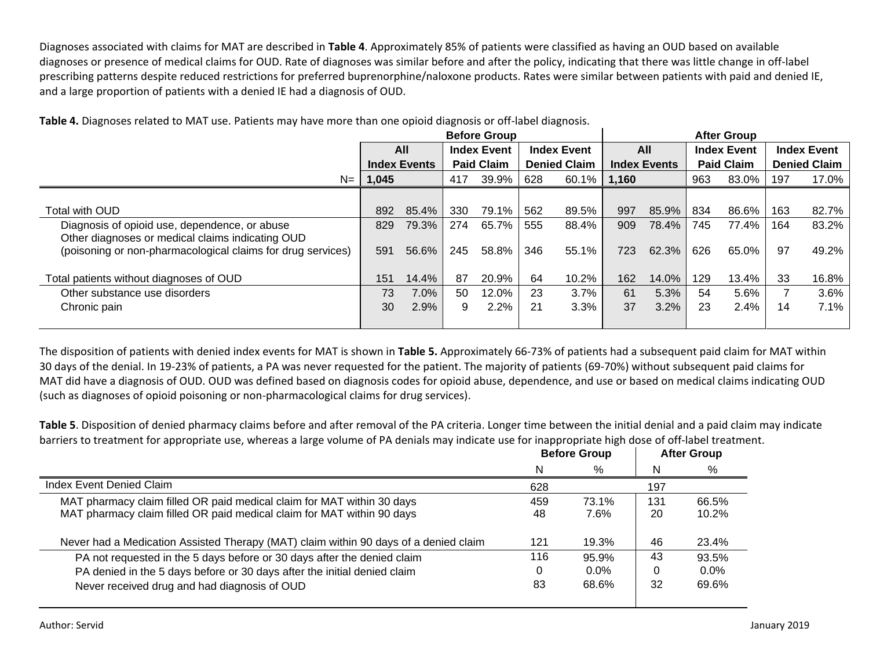Diagnoses associated with claims for MAT are described in **Table 4**. Approximately 85% of patients were classified as having an OUD based on available diagnoses or presence of medical claims for OUD. Rate of diagnoses was similar before and after the policy, indicating that there was little change in off-label prescribing patterns despite reduced restrictions for preferred buprenorphine/naloxone products. Rates were similar between patients with paid and denied IE, and a large proportion of patients with a denied IE had a diagnosis of OUD.

|                                                             | <b>Before Group</b> |                     |                                          |                    |                    | <b>After Group</b>  |      |                   |                    |                     |                    |       |
|-------------------------------------------------------------|---------------------|---------------------|------------------------------------------|--------------------|--------------------|---------------------|------|-------------------|--------------------|---------------------|--------------------|-------|
|                                                             |                     | All                 |                                          | <b>Index Event</b> | <b>Index Event</b> |                     | All  |                   | <b>Index Event</b> |                     | <b>Index Event</b> |       |
|                                                             |                     | <b>Index Events</b> | <b>Paid Claim</b><br><b>Denied Claim</b> |                    |                    | <b>Index Events</b> |      | <b>Paid Claim</b> |                    | <b>Denied Claim</b> |                    |       |
| $N=$                                                        | 1,045               |                     | 417                                      | 39.9%              | 628                | 60.1% 1,160         |      |                   | 963                | 83.0%               | 197                | 17.0% |
|                                                             |                     |                     |                                          |                    |                    |                     |      |                   |                    |                     |                    |       |
| Total with OUD                                              | 892                 | 85.4%               | 330                                      | 79.1%              | 562                | 89.5%               | 997  | 85.9%             | 834                | 86.6%               | 163                | 82.7% |
| Diagnosis of opioid use, dependence, or abuse               | 829                 | 79.3%               | 274                                      | 65.7%              | 555                | 88.4%               | 909  | 78.4%             | 745                | 77.4%               | 164                | 83.2% |
| Other diagnoses or medical claims indicating OUD            |                     |                     |                                          |                    |                    |                     |      |                   |                    |                     |                    |       |
| (poisoning or non-pharmacological claims for drug services) | 591                 | 56.6%               | 245                                      | 58.8%              | 346                | 55.1%               | 723. | 62.3%             | 626                | 65.0%               | 97                 | 49.2% |
|                                                             |                     |                     |                                          |                    |                    |                     |      |                   |                    |                     |                    |       |
| Total patients without diagnoses of OUD                     | 151                 | 14.4%               | 87                                       | 20.9%              | 64                 | 10.2%               | 162  | 14.0%             | 129                | 13.4%               | 33                 | 16.8% |
| Other substance use disorders                               | 73                  | 7.0%                | 50                                       | 12.0%              | 23                 | 3.7%                | 61   | 5.3%              | 54                 | 5.6%                |                    | 3.6%  |
| Chronic pain                                                | 30                  | 2.9%                | 9                                        | 2.2%               | 21                 | 3.3%                | 37   | 3.2%              | 23                 | 2.4%                | 14                 | 7.1%  |
|                                                             |                     |                     |                                          |                    |                    |                     |      |                   |                    |                     |                    |       |

**Table 4.** Diagnoses related to MAT use. Patients may have more than one opioid diagnosis or off-label diagnosis.

The disposition of patients with denied index events for MAT is shown in **Table 5.** Approximately 66-73% of patients had a subsequent paid claim for MAT within 30 days of the denial. In 19-23% of patients, a PA was never requested for the patient. The majority of patients (69-70%) without subsequent paid claims for MAT did have a diagnosis of OUD. OUD was defined based on diagnosis codes for opioid abuse, dependence, and use or based on medical claims indicating OUD (such as diagnoses of opioid poisoning or non-pharmacological claims for drug services).

**Table 5**. Disposition of denied pharmacy claims before and after removal of the PA criteria. Longer time between the initial denial and a paid claim may indicate barriers to treatment for appropriate use, whereas a large volume of PA denials may indicate use for inappropriate high dose of off-label treatment.

|     |         |                     | <b>After Group</b> |
|-----|---------|---------------------|--------------------|
| N   | %       | N                   | %                  |
| 628 |         | 197                 |                    |
| 459 | 73.1%   | 131                 | 66.5%              |
| 48  | 7.6%    | 20                  | 10.2%              |
| 121 | 19.3%   | 46                  | 23.4%              |
| 116 | 95.9%   | 43                  | 93.5%              |
| 0   | $0.0\%$ |                     | $0.0\%$            |
| 83  | 68.6%   | 32                  | 69.6%              |
|     |         | <b>Before Group</b> |                    |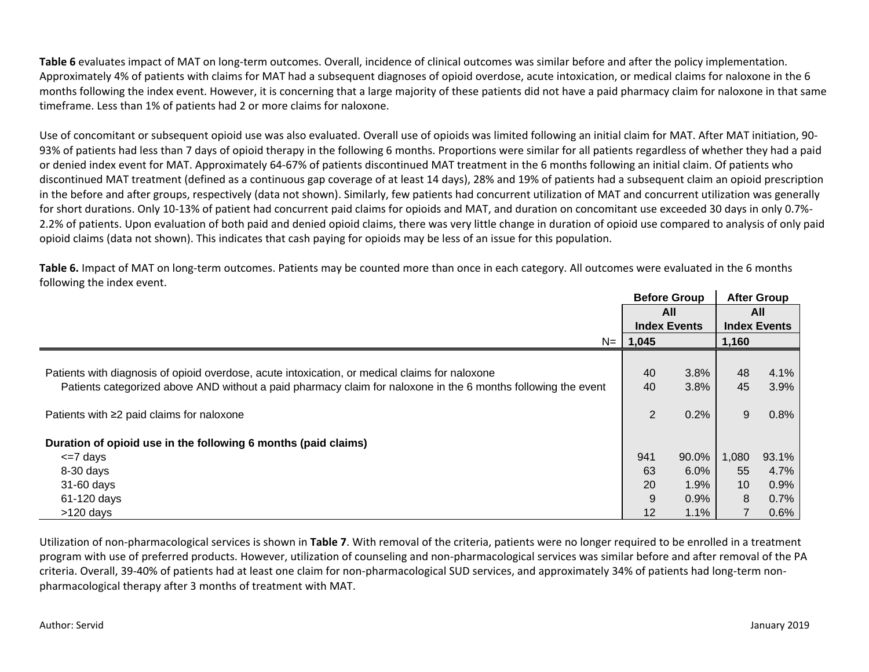**Table 6** evaluates impact of MAT on long-term outcomes. Overall, incidence of clinical outcomes was similar before and after the policy implementation. Approximately 4% of patients with claims for MAT had a subsequent diagnoses of opioid overdose, acute intoxication, or medical claims for naloxone in the 6 months following the index event. However, it is concerning that a large majority of these patients did not have a paid pharmacy claim for naloxone in that same timeframe. Less than 1% of patients had 2 or more claims for naloxone.

Use of concomitant or subsequent opioid use was also evaluated. Overall use of opioids was limited following an initial claim for MAT. After MAT initiation, 90- 93% of patients had less than 7 days of opioid therapy in the following 6 months. Proportions were similar for all patients regardless of whether they had a paid or denied index event for MAT. Approximately 64-67% of patients discontinued MAT treatment in the 6 months following an initial claim. Of patients who discontinued MAT treatment (defined as a continuous gap coverage of at least 14 days), 28% and 19% of patients had a subsequent claim an opioid prescription in the before and after groups, respectively (data not shown). Similarly, few patients had concurrent utilization of MAT and concurrent utilization was generally for short durations. Only 10-13% of patient had concurrent paid claims for opioids and MAT, and duration on concomitant use exceeded 30 days in only 0.7%- 2.2% of patients. Upon evaluation of both paid and denied opioid claims, there was very little change in duration of opioid use compared to analysis of only paid opioid claims (data not shown). This indicates that cash paying for opioids may be less of an issue for this population.

**Table 6.** Impact of MAT on long-term outcomes. Patients may be counted more than once in each category. All outcomes were evaluated in the 6 months following the index event.

|                                                                                                               |             | <b>Before Group</b> |       | <b>After Group</b>  |
|---------------------------------------------------------------------------------------------------------------|-------------|---------------------|-------|---------------------|
|                                                                                                               |             | All                 | All   |                     |
|                                                                                                               |             | <b>Index Events</b> |       | <b>Index Events</b> |
|                                                                                                               | $N = 1,045$ |                     | 1,160 |                     |
|                                                                                                               |             |                     |       |                     |
| Patients with diagnosis of opioid overdose, acute intoxication, or medical claims for naloxone                | 40          | 3.8%                | 48    | 4.1%                |
| Patients categorized above AND without a paid pharmacy claim for naloxone in the 6 months following the event | 40          | 3.8%                | 45    | 3.9%                |
|                                                                                                               |             |                     |       |                     |
| Patients with ≥2 paid claims for naloxone                                                                     | 2           | 0.2%                | 9     | 0.8%                |
|                                                                                                               |             |                     |       |                     |
| Duration of opioid use in the following 6 months (paid claims)                                                |             |                     |       |                     |
| $\leq$ 7 days                                                                                                 | 941         | 90.0%               | 1,080 | 93.1%               |
| $8-30$ days                                                                                                   | 63          | 6.0%                | 55    | 4.7%                |
| 31-60 days                                                                                                    | 20          | 1.9%                | 10    | 0.9%                |
| 61-120 days                                                                                                   | 9           | 0.9%                | 8     | 0.7%                |
| $>120$ days                                                                                                   | 12          | 1.1%                |       | 0.6%                |

Utilization of non-pharmacological services is shown in **Table 7**. With removal of the criteria, patients were no longer required to be enrolled in a treatment program with use of preferred products. However, utilization of counseling and non-pharmacological services was similar before and after removal of the PA criteria. Overall, 39-40% of patients had at least one claim for non-pharmacological SUD services, and approximately 34% of patients had long-term nonpharmacological therapy after 3 months of treatment with MAT.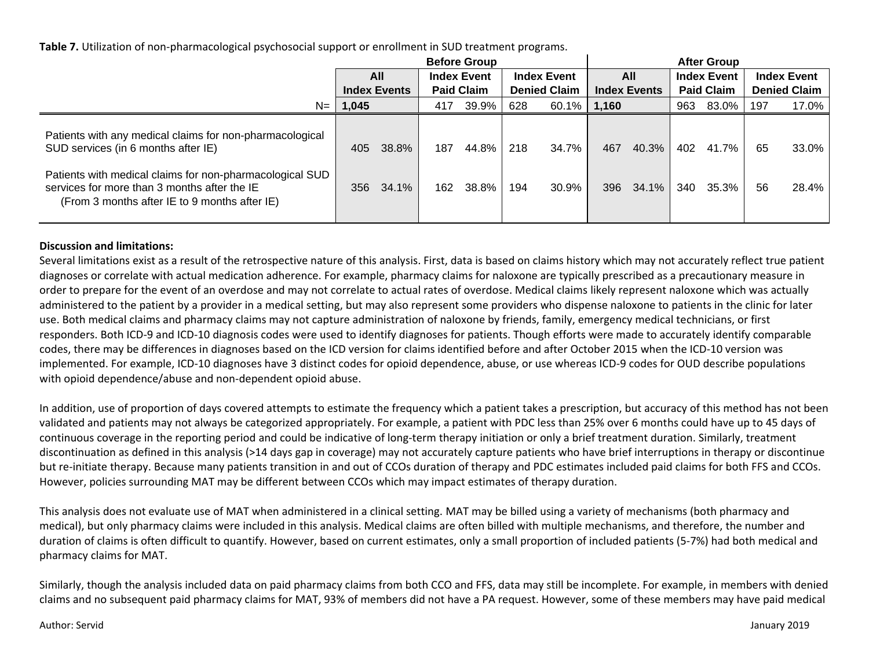**Table 7.** Utilization of non-pharmacological psychosocial support or enrollment in SUD treatment programs.

|                                                                                                                                                                                                                                                              | <b>Before Group</b> |                     |            |                    |                    |                     |            | <b>After Group</b>  |                    |                   |                    |                     |  |
|--------------------------------------------------------------------------------------------------------------------------------------------------------------------------------------------------------------------------------------------------------------|---------------------|---------------------|------------|--------------------|--------------------|---------------------|------------|---------------------|--------------------|-------------------|--------------------|---------------------|--|
|                                                                                                                                                                                                                                                              |                     | <b>All</b>          |            | <b>Index Event</b> | <b>Index Event</b> |                     | All        |                     | <b>Index Event</b> |                   | <b>Index Event</b> |                     |  |
|                                                                                                                                                                                                                                                              |                     | <b>Index Events</b> |            | <b>Paid Claim</b>  |                    | <b>Denied Claim</b> |            | <b>Index Events</b> |                    | <b>Paid Claim</b> |                    | <b>Denied Claim</b> |  |
| $N=$                                                                                                                                                                                                                                                         | 1,045               |                     | 417        | 39.9%              | 628                | $60.1\%$            | 1.160      |                     | 963                | 83.0%             | 197                | 17.0%               |  |
| Patients with any medical claims for non-pharmacological<br>SUD services (in 6 months after IE)<br>Patients with medical claims for non-pharmacological SUD<br>services for more than 3 months after the IE<br>(From 3 months after IE to 9 months after IE) | 405<br>356          | 38.8%<br>34.1%      | 187<br>162 | 44.8%  <br>38.8%   | 218<br>194         | 34.7%<br>30.9%      | 467<br>396 | 40.3%<br>34.1%      | 402<br>340         | 41.7%<br>35.3%    | 65<br>56           | 33.0%<br>28.4%      |  |

### **Discussion and limitations:**

Several limitations exist as a result of the retrospective nature of this analysis. First, data is based on claims history which may not accurately reflect true patient diagnoses or correlate with actual medication adherence. For example, pharmacy claims for naloxone are typically prescribed as a precautionary measure in order to prepare for the event of an overdose and may not correlate to actual rates of overdose. Medical claims likely represent naloxone which was actually administered to the patient by a provider in a medical setting, but may also represent some providers who dispense naloxone to patients in the clinic for later use. Both medical claims and pharmacy claims may not capture administration of naloxone by friends, family, emergency medical technicians, or first responders. Both ICD-9 and ICD-10 diagnosis codes were used to identify diagnoses for patients. Though efforts were made to accurately identify comparable codes, there may be differences in diagnoses based on the ICD version for claims identified before and after October 2015 when the ICD-10 version was implemented. For example, ICD-10 diagnoses have 3 distinct codes for opioid dependence, abuse, or use whereas ICD-9 codes for OUD describe populations with opioid dependence/abuse and non-dependent opioid abuse.

In addition, use of proportion of days covered attempts to estimate the frequency which a patient takes a prescription, but accuracy of this method has not been validated and patients may not always be categorized appropriately. For example, a patient with PDC less than 25% over 6 months could have up to 45 days of continuous coverage in the reporting period and could be indicative of long-term therapy initiation or only a brief treatment duration. Similarly, treatment discontinuation as defined in this analysis (>14 days gap in coverage) may not accurately capture patients who have brief interruptions in therapy or discontinue but re-initiate therapy. Because many patients transition in and out of CCOs duration of therapy and PDC estimates included paid claims for both FFS and CCOs. However, policies surrounding MAT may be different between CCOs which may impact estimates of therapy duration.

This analysis does not evaluate use of MAT when administered in a clinical setting. MAT may be billed using a variety of mechanisms (both pharmacy and medical), but only pharmacy claims were included in this analysis. Medical claims are often billed with multiple mechanisms, and therefore, the number and duration of claims is often difficult to quantify. However, based on current estimates, only a small proportion of included patients (5-7%) had both medical and pharmacy claims for MAT.

Similarly, though the analysis included data on paid pharmacy claims from both CCO and FFS, data may still be incomplete. For example, in members with denied claims and no subsequent paid pharmacy claims for MAT, 93% of members did not have a PA request. However, some of these members may have paid medical

### Author: Servid January 2019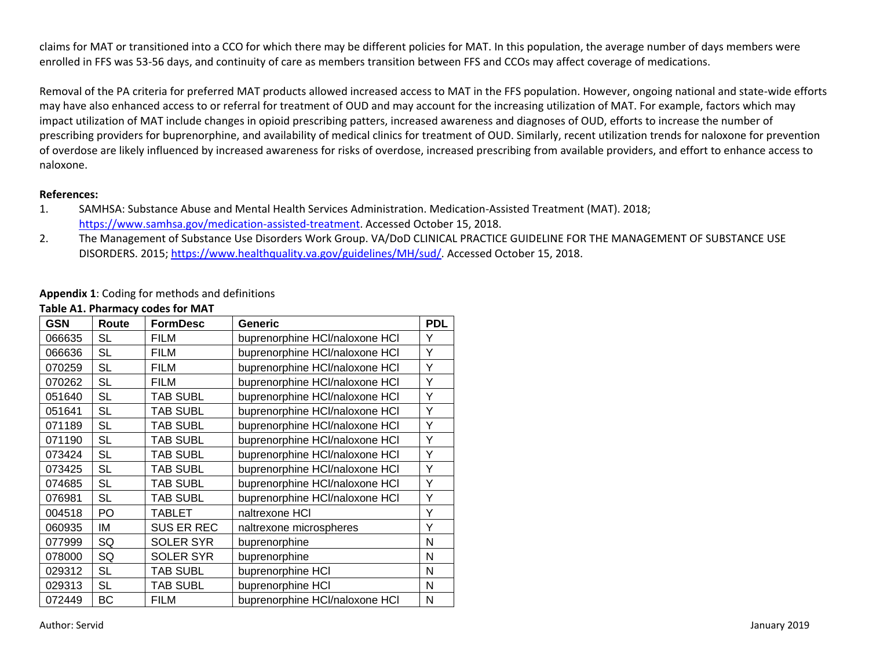claims for MAT or transitioned into a CCO for which there may be different policies for MAT. In this population, the average number of days members were enrolled in FFS was 53-56 days, and continuity of care as members transition between FFS and CCOs may affect coverage of medications.

Removal of the PA criteria for preferred MAT products allowed increased access to MAT in the FFS population. However, ongoing national and state-wide efforts may have also enhanced access to or referral for treatment of OUD and may account for the increasing utilization of MAT. For example, factors which may impact utilization of MAT include changes in opioid prescribing patters, increased awareness and diagnoses of OUD, efforts to increase the number of prescribing providers for buprenorphine, and availability of medical clinics for treatment of OUD. Similarly, recent utilization trends for naloxone for prevention of overdose are likely influenced by increased awareness for risks of overdose, increased prescribing from available providers, and effort to enhance access to naloxone.

#### **References:**

- 1. SAMHSA: Substance Abuse and Mental Health Services Administration. Medication-Assisted Treatment (MAT). 2018; [https://www.samhsa.gov/medication-assisted-treatment.](https://www.samhsa.gov/medication-assisted-treatment) Accessed October 15, 2018.
- 2. The Management of Substance Use Disorders Work Group. VA/DoD CLINICAL PRACTICE GUIDELINE FOR THE MANAGEMENT OF SUBSTANCE USE DISORDERS. 2015; [https://www.healthquality.va.gov/guidelines/MH/sud/.](https://www.healthquality.va.gov/guidelines/MH/sud/) Accessed October 15, 2018.

### **Appendix 1**: Coding for methods and definitions

| <b>GSN</b> | Route     | <b>FormDesc</b>   | <b>Generic</b>                 | <b>PDL</b> |
|------------|-----------|-------------------|--------------------------------|------------|
| 066635     | <b>SL</b> | <b>FILM</b>       | buprenorphine HCl/naloxone HCl | Υ          |
| 066636     | <b>SL</b> | <b>FILM</b>       | buprenorphine HCl/naloxone HCl | Y          |
| 070259     | <b>SL</b> | <b>FILM</b>       | buprenorphine HCl/naloxone HCl | Υ          |
| 070262     | <b>SL</b> | <b>FILM</b>       | buprenorphine HCl/naloxone HCl | Υ          |
| 051640     | <b>SL</b> | <b>TAB SUBL</b>   | buprenorphine HCl/naloxone HCl | Υ          |
| 051641     | <b>SL</b> | <b>TAB SUBL</b>   | buprenorphine HCl/naloxone HCl | Υ          |
| 071189     | <b>SL</b> | <b>TAB SUBL</b>   | buprenorphine HCl/naloxone HCl | Y          |
| 071190     | <b>SL</b> | <b>TAB SUBL</b>   | buprenorphine HCl/naloxone HCl | Υ          |
| 073424     | <b>SL</b> | <b>TAB SUBL</b>   | buprenorphine HCl/naloxone HCl | Υ          |
| 073425     | <b>SL</b> | <b>TAB SUBL</b>   | buprenorphine HCl/naloxone HCl | Υ          |
| 074685     | <b>SL</b> | <b>TAB SUBL</b>   | buprenorphine HCl/naloxone HCl | Υ          |
| 076981     | <b>SL</b> | <b>TAB SUBL</b>   | buprenorphine HCl/naloxone HCl | Υ          |
| 004518     | PO        | <b>TABLET</b>     | naltrexone HCI                 | Υ          |
| 060935     | ΙM        | <b>SUS ER REC</b> | naltrexone microspheres        | Υ          |
| 077999     | SQ        | <b>SOLER SYR</b>  | buprenorphine                  | N          |
| 078000     | SQ        | <b>SOLER SYR</b>  | buprenorphine                  | N          |
| 029312     | <b>SL</b> | <b>TAB SUBL</b>   | buprenorphine HCI              | N          |
| 029313     | <b>SL</b> | <b>TAB SUBL</b>   | buprenorphine HCI              | N          |
| 072449     | BC        | <b>FILM</b>       | buprenorphine HCl/naloxone HCl | N          |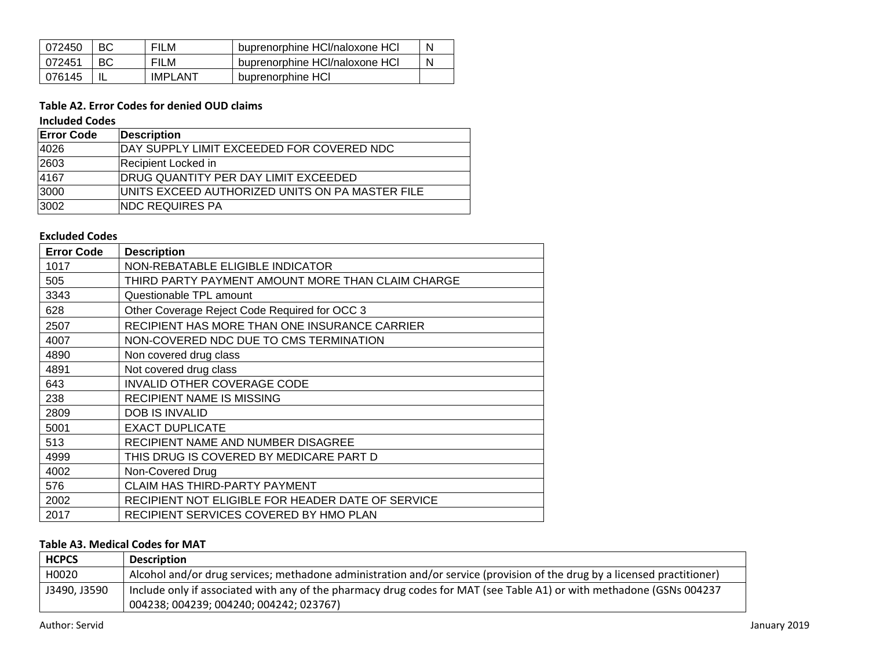| 072450 | <b>FILM</b>    | buprenorphine HCl/naloxone HCl | N |
|--------|----------------|--------------------------------|---|
| 072451 | <b>FILM</b>    | buprenorphine HCl/naloxone HCl | N |
| 076145 | <b>IMPLANT</b> | buprenorphine HCI              |   |

# **Table A2. Error Codes for denied OUD claims**

### **Included Codes**

| <b>Error Code</b> | <b>Description</b>                              |
|-------------------|-------------------------------------------------|
| 4026              | DAY SUPPLY LIMIT EXCEEDED FOR COVERED NDC       |
| 2603              | <b>Recipient Locked in</b>                      |
| 4167              | DRUG QUANTITY PER DAY LIMIT EXCEEDED            |
| 3000              | UNITS EXCEED AUTHORIZED UNITS ON PA MASTER FILE |
| 3002              | <b>INDC REQUIRES PA</b>                         |

## **Excluded Codes**

| <b>Error Code</b> | <b>Description</b>                                |
|-------------------|---------------------------------------------------|
| 1017              | NON-REBATABLE ELIGIBLE INDICATOR                  |
| 505               | THIRD PARTY PAYMENT AMOUNT MORE THAN CLAIM CHARGE |
| 3343              | Questionable TPL amount                           |
| 628               | Other Coverage Reject Code Required for OCC 3     |
| 2507              | RECIPIENT HAS MORE THAN ONE INSURANCE CARRIER     |
| 4007              | NON-COVERED NDC DUE TO CMS TERMINATION            |
| 4890              | Non covered drug class                            |
| 4891              | Not covered drug class                            |
| 643               | <b>INVALID OTHER COVERAGE CODE</b>                |
| 238               | <b>RECIPIENT NAME IS MISSING</b>                  |
| 2809              | <b>DOB IS INVALID</b>                             |
| 5001              | <b>EXACT DUPLICATE</b>                            |
| 513               | RECIPIENT NAME AND NUMBER DISAGREE                |
| 4999              | THIS DRUG IS COVERED BY MEDICARE PART D           |
| 4002              | Non-Covered Drug                                  |
| 576               | <b>CLAIM HAS THIRD-PARTY PAYMENT</b>              |
| 2002              | RECIPIENT NOT ELIGIBLE FOR HEADER DATE OF SERVICE |
| 2017              | RECIPIENT SERVICES COVERED BY HMO PLAN            |

## **Table A3. Medical Codes for MAT**

| <b>HCPCS</b> | <b>Description</b>                                                                                                       |
|--------------|--------------------------------------------------------------------------------------------------------------------------|
| H0020        | Alcohol and/or drug services; methadone administration and/or service (provision of the drug by a licensed practitioner) |
| J3490, J3590 | Include only if associated with any of the pharmacy drug codes for MAT (see Table A1) or with methadone (GSNs 004237     |
|              | 004238; 004239; 004240; 004242; 023767)                                                                                  |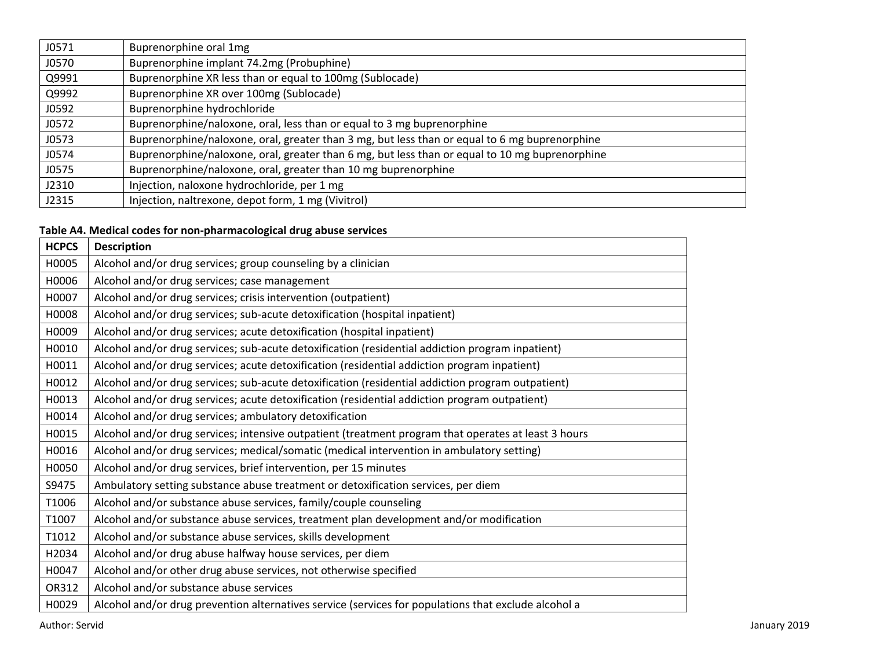| J0571 | Buprenorphine oral 1mg                                                                         |
|-------|------------------------------------------------------------------------------------------------|
| J0570 | Buprenorphine implant 74.2mg (Probuphine)                                                      |
| Q9991 | Buprenorphine XR less than or equal to 100mg (Sublocade)                                       |
| Q9992 | Buprenorphine XR over 100mg (Sublocade)                                                        |
| J0592 | Buprenorphine hydrochloride                                                                    |
| J0572 | Buprenorphine/naloxone, oral, less than or equal to 3 mg buprenorphine                         |
| J0573 | Buprenorphine/naloxone, oral, greater than 3 mg, but less than or equal to 6 mg buprenorphine  |
| J0574 | Buprenorphine/naloxone, oral, greater than 6 mg, but less than or equal to 10 mg buprenorphine |
| J0575 | Buprenorphine/naloxone, oral, greater than 10 mg buprenorphine                                 |
| J2310 | Injection, naloxone hydrochloride, per 1 mg                                                    |
| J2315 | Injection, naltrexone, depot form, 1 mg (Vivitrol)                                             |

## **Table A4. Medical codes for non-pharmacological drug abuse services**

| <b>HCPCS</b> | <b>Description</b>                                                                                   |
|--------------|------------------------------------------------------------------------------------------------------|
| H0005        | Alcohol and/or drug services; group counseling by a clinician                                        |
| H0006        | Alcohol and/or drug services; case management                                                        |
| H0007        | Alcohol and/or drug services; crisis intervention (outpatient)                                       |
| H0008        | Alcohol and/or drug services; sub-acute detoxification (hospital inpatient)                          |
| H0009        | Alcohol and/or drug services; acute detoxification (hospital inpatient)                              |
| H0010        | Alcohol and/or drug services; sub-acute detoxification (residential addiction program inpatient)     |
| H0011        | Alcohol and/or drug services; acute detoxification (residential addiction program inpatient)         |
| H0012        | Alcohol and/or drug services; sub-acute detoxification (residential addiction program outpatient)    |
| H0013        | Alcohol and/or drug services; acute detoxification (residential addiction program outpatient)        |
| H0014        | Alcohol and/or drug services; ambulatory detoxification                                              |
| H0015        | Alcohol and/or drug services; intensive outpatient (treatment program that operates at least 3 hours |
| H0016        | Alcohol and/or drug services; medical/somatic (medical intervention in ambulatory setting)           |
| H0050        | Alcohol and/or drug services, brief intervention, per 15 minutes                                     |
| S9475        | Ambulatory setting substance abuse treatment or detoxification services, per diem                    |
| T1006        | Alcohol and/or substance abuse services, family/couple counseling                                    |
| T1007        | Alcohol and/or substance abuse services, treatment plan development and/or modification              |
| T1012        | Alcohol and/or substance abuse services, skills development                                          |
| H2034        | Alcohol and/or drug abuse halfway house services, per diem                                           |
| H0047        | Alcohol and/or other drug abuse services, not otherwise specified                                    |
| OR312        | Alcohol and/or substance abuse services                                                              |
| H0029        | Alcohol and/or drug prevention alternatives service (services for populations that exclude alcohol a |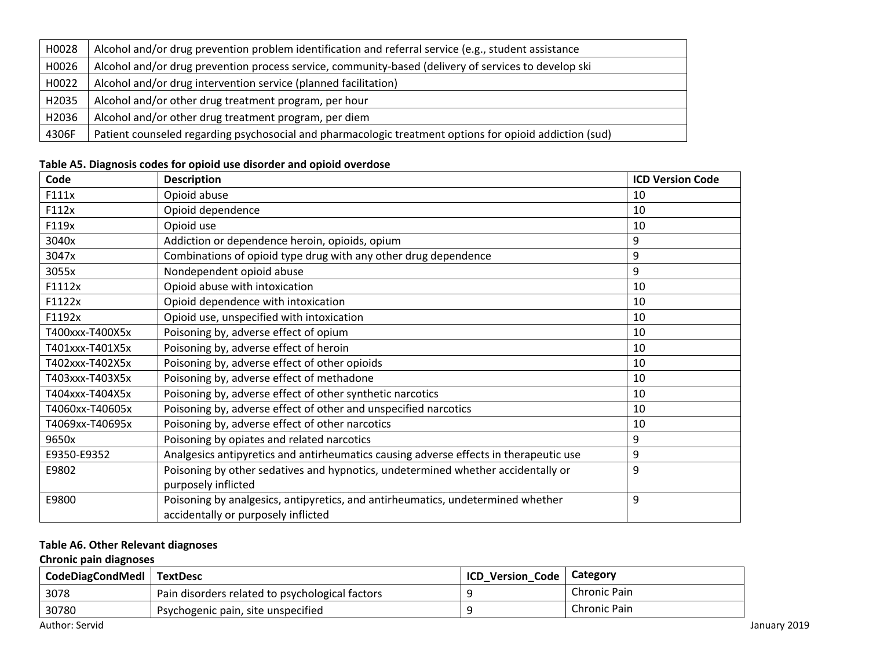| H0028 | Alcohol and/or drug prevention problem identification and referral service (e.g., student assistance    |
|-------|---------------------------------------------------------------------------------------------------------|
| H0026 | Alcohol and/or drug prevention process service, community-based (delivery of services to develop ski    |
| H0022 | Alcohol and/or drug intervention service (planned facilitation)                                         |
| H2035 | Alcohol and/or other drug treatment program, per hour                                                   |
| H2036 | Alcohol and/or other drug treatment program, per diem                                                   |
| 4306F | Patient counseled regarding psychosocial and pharmacologic treatment options for opioid addiction (sud) |

## **Table A5. Diagnosis codes for opioid use disorder and opioid overdose**

| Code            | <b>Description</b>                                                                    | <b>ICD Version Code</b> |
|-----------------|---------------------------------------------------------------------------------------|-------------------------|
| F111x           | Opioid abuse                                                                          | 10                      |
| F112x           | Opioid dependence                                                                     | 10                      |
| F119x           | Opioid use                                                                            | 10                      |
| 3040x           | Addiction or dependence heroin, opioids, opium                                        | 9                       |
| 3047x           | Combinations of opioid type drug with any other drug dependence                       | 9                       |
| 3055x           | Nondependent opioid abuse                                                             | 9                       |
| F1112x          | Opioid abuse with intoxication                                                        | 10                      |
| F1122x          | Opioid dependence with intoxication                                                   | 10                      |
| F1192x          | Opioid use, unspecified with intoxication                                             | 10                      |
| T400xxx-T400X5x | Poisoning by, adverse effect of opium                                                 | 10                      |
| T401xxx-T401X5x | Poisoning by, adverse effect of heroin                                                | 10                      |
| T402xxx-T402X5x | Poisoning by, adverse effect of other opioids                                         | 10                      |
| T403xxx-T403X5x | Poisoning by, adverse effect of methadone                                             | 10                      |
| T404xxx-T404X5x | Poisoning by, adverse effect of other synthetic narcotics                             | 10                      |
| T4060xx-T40605x | Poisoning by, adverse effect of other and unspecified narcotics                       | 10                      |
| T4069xx-T40695x | Poisoning by, adverse effect of other narcotics                                       | 10                      |
| 9650x           | Poisoning by opiates and related narcotics                                            | 9                       |
| E9350-E9352     | Analgesics antipyretics and antirheumatics causing adverse effects in therapeutic use | 9                       |
| E9802           | Poisoning by other sedatives and hypnotics, undetermined whether accidentally or      | 9                       |
|                 | purposely inflicted                                                                   |                         |
| E9800           | Poisoning by analgesics, antipyretics, and antirheumatics, undetermined whether       | 9                       |
|                 | accidentally or purposely inflicted                                                   |                         |

## **Table A6. Other Relevant diagnoses**

## **Chronic pain diagnoses**

| CodeDiagCondMedl   TextDesc |                                                 | <b>ICD</b><br><b>Version Code</b> | Category            |
|-----------------------------|-------------------------------------------------|-----------------------------------|---------------------|
| 3078                        | Pain disorders related to psychological factors |                                   | <b>Chronic Pain</b> |
| 30780                       | Psychogenic pain, site unspecified              |                                   | Chronic Pain        |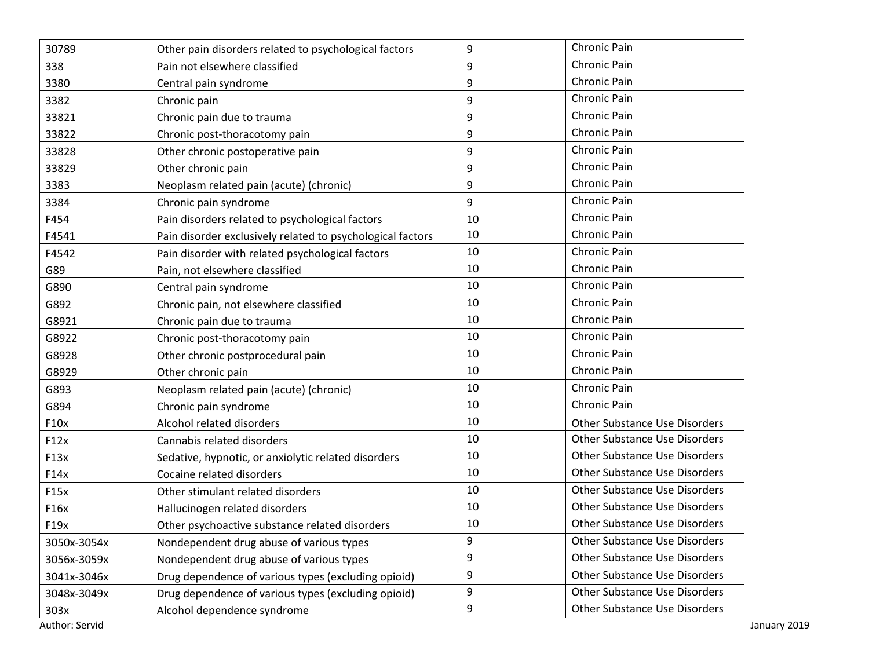| 30789       | Other pain disorders related to psychological factors      | 9  | Chronic Pain                         |
|-------------|------------------------------------------------------------|----|--------------------------------------|
| 338         | Pain not elsewhere classified                              | 9  | Chronic Pain                         |
| 3380        | Central pain syndrome                                      | 9  | Chronic Pain                         |
| 3382        | Chronic pain                                               | 9  | Chronic Pain                         |
| 33821       | Chronic pain due to trauma                                 | 9  | Chronic Pain                         |
| 33822       | Chronic post-thoracotomy pain                              | 9  | Chronic Pain                         |
| 33828       | Other chronic postoperative pain                           | 9  | Chronic Pain                         |
| 33829       | Other chronic pain                                         | 9  | Chronic Pain                         |
| 3383        | Neoplasm related pain (acute) (chronic)                    | 9  | Chronic Pain                         |
| 3384        | Chronic pain syndrome                                      | 9  | Chronic Pain                         |
| F454        | Pain disorders related to psychological factors            | 10 | Chronic Pain                         |
| F4541       | Pain disorder exclusively related to psychological factors | 10 | <b>Chronic Pain</b>                  |
| F4542       | Pain disorder with related psychological factors           | 10 | Chronic Pain                         |
| G89         | Pain, not elsewhere classified                             | 10 | Chronic Pain                         |
| G890        | Central pain syndrome                                      | 10 | Chronic Pain                         |
| G892        | Chronic pain, not elsewhere classified                     | 10 | Chronic Pain                         |
| G8921       | Chronic pain due to trauma                                 | 10 | Chronic Pain                         |
| G8922       | Chronic post-thoracotomy pain                              | 10 | Chronic Pain                         |
| G8928       | Other chronic postprocedural pain                          | 10 | Chronic Pain                         |
| G8929       | Other chronic pain                                         | 10 | Chronic Pain                         |
| G893        | Neoplasm related pain (acute) (chronic)                    | 10 | Chronic Pain                         |
| G894        | Chronic pain syndrome                                      | 10 | Chronic Pain                         |
| F10x        | Alcohol related disorders                                  | 10 | <b>Other Substance Use Disorders</b> |
| F12x        | Cannabis related disorders                                 | 10 | <b>Other Substance Use Disorders</b> |
| F13x        | Sedative, hypnotic, or anxiolytic related disorders        | 10 | <b>Other Substance Use Disorders</b> |
| F14x        | Cocaine related disorders                                  | 10 | <b>Other Substance Use Disorders</b> |
| F15x        | Other stimulant related disorders                          | 10 | <b>Other Substance Use Disorders</b> |
| F16x        | Hallucinogen related disorders                             | 10 | <b>Other Substance Use Disorders</b> |
| F19x        | Other psychoactive substance related disorders             | 10 | <b>Other Substance Use Disorders</b> |
| 3050x-3054x | Nondependent drug abuse of various types                   | 9  | <b>Other Substance Use Disorders</b> |
| 3056x-3059x | Nondependent drug abuse of various types                   | 9  | <b>Other Substance Use Disorders</b> |
| 3041x-3046x | Drug dependence of various types (excluding opioid)        | 9  | <b>Other Substance Use Disorders</b> |
| 3048x-3049x | Drug dependence of various types (excluding opioid)        | 9  | <b>Other Substance Use Disorders</b> |
| 303x        | Alcohol dependence syndrome                                | 9  | <b>Other Substance Use Disorders</b> |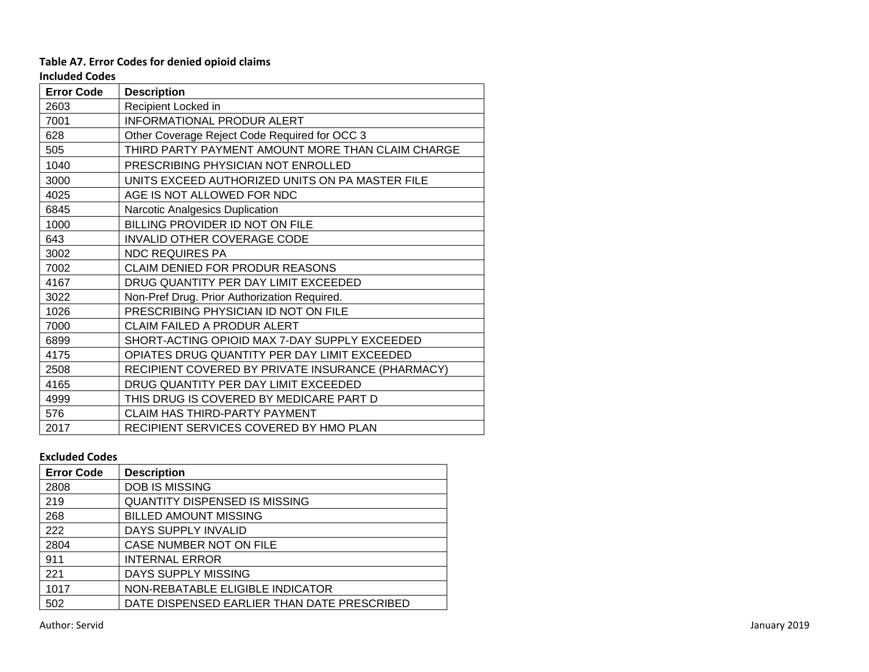## **Table A7. Error Codes for denied opioid claims**

**Included Codes**

|                   | IILIUULU LUULJ                                    |  |  |
|-------------------|---------------------------------------------------|--|--|
| <b>Error Code</b> | <b>Description</b>                                |  |  |
| 2603              | Recipient Locked in                               |  |  |
| 7001              | INFORMATIONAL PRODUR ALERT                        |  |  |
| 628               | Other Coverage Reject Code Required for OCC 3     |  |  |
| 505               | THIRD PARTY PAYMENT AMOUNT MORE THAN CLAIM CHARGE |  |  |
| 1040              | PRESCRIBING PHYSICIAN NOT ENROLLED                |  |  |
| 3000              | UNITS EXCEED AUTHORIZED UNITS ON PA MASTER FILE   |  |  |
| 4025              | AGE IS NOT ALLOWED FOR NDC                        |  |  |
| 6845              | Narcotic Analgesics Duplication                   |  |  |
| 1000              | BILLING PROVIDER ID NOT ON FILE                   |  |  |
| 643               | INVALID OTHER COVERAGE CODE                       |  |  |
| 3002              | <b>NDC REQUIRES PA</b>                            |  |  |
| 7002              | <b>CLAIM DENIED FOR PRODUR REASONS</b>            |  |  |
| 4167              | DRUG QUANTITY PER DAY LIMIT EXCEEDED              |  |  |
| 3022              | Non-Pref Drug. Prior Authorization Required.      |  |  |
| 1026              | PRESCRIBING PHYSICIAN ID NOT ON FILE              |  |  |
| 7000              | <b>CLAIM FAILED A PRODUR ALERT</b>                |  |  |
| 6899              | SHORT-ACTING OPIOID MAX 7-DAY SUPPLY EXCEEDED     |  |  |
| 4175              | OPIATES DRUG QUANTITY PER DAY LIMIT EXCEEDED      |  |  |
| 2508              | RECIPIENT COVERED BY PRIVATE INSURANCE (PHARMACY) |  |  |
| 4165              | DRUG QUANTITY PER DAY LIMIT EXCEEDED              |  |  |
| 4999              | THIS DRUG IS COVERED BY MEDICARE PART D           |  |  |
| 576               | <b>CLAIM HAS THIRD-PARTY PAYMENT</b>              |  |  |
| 2017              | RECIPIENT SERVICES COVERED BY HMO PLAN            |  |  |

## **Excluded Codes**

| <b>Error Code</b> | <b>Description</b>                          |
|-------------------|---------------------------------------------|
| 2808              | <b>DOB IS MISSING</b>                       |
| 219               | <b>QUANTITY DISPENSED IS MISSING</b>        |
| 268               | <b>BILLED AMOUNT MISSING</b>                |
| 222               | DAYS SUPPLY INVALID                         |
| 2804              | CASE NUMBER NOT ON FILE                     |
| 911               | <b>INTERNAL ERROR</b>                       |
| 221               | DAYS SUPPLY MISSING                         |
| 1017              | NON-REBATABLE ELIGIBLE INDICATOR            |
| 502               | DATE DISPENSED EARLIER THAN DATE PRESCRIBED |